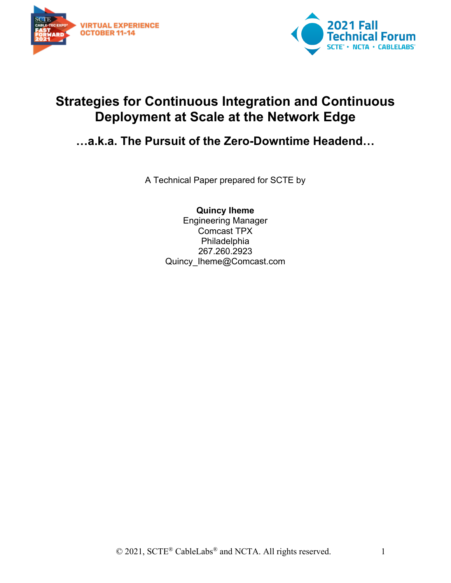



# **Strategies for Continuous Integration and Continuous Deployment at Scale at the Network Edge**

## **…a.k.a. The Pursuit of the Zero-Downtime Headend…**

A Technical Paper prepared for SCTE by

**Quincy Iheme** Engineering Manager Comcast TPX Philadelphia 267.260.2923 Quincy Iheme@Comcast.com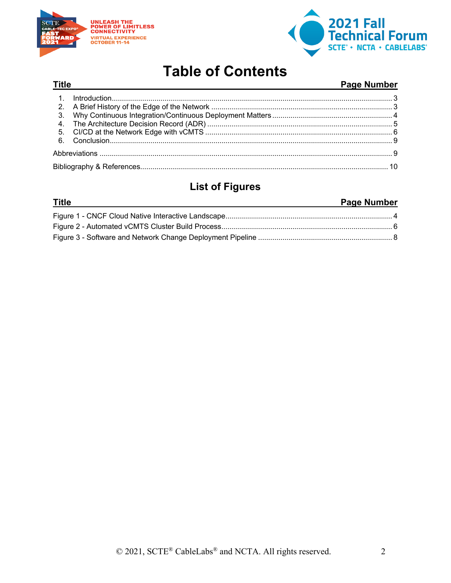

**Title** 



# **Table of Contents**

#### **Page Number**

### **List of Figures**

#### **Title Page Number**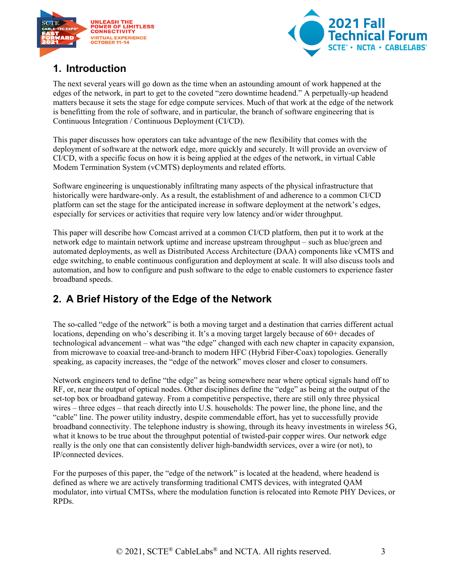



### <span id="page-2-0"></span>**1. Introduction**

The next several years will go down as the time when an astounding amount of work happened at the edges of the network, in part to get to the coveted "zero downtime headend." A perpetually-up headend matters because it sets the stage for edge compute services. Much of that work at the edge of the network is benefitting from the role of software, and in particular, the branch of software engineering that is Continuous Integration / Continuous Deployment (CI/CD).

This paper discusses how operators can take advantage of the new flexibility that comes with the deployment of software at the network edge, more quickly and securely. It will provide an overview of CI/CD, with a specific focus on how it is being applied at the edges of the network, in virtual Cable Modem Termination System (vCMTS) deployments and related efforts.

Software engineering is unquestionably infiltrating many aspects of the physical infrastructure that historically were hardware-only. As a result, the establishment of and adherence to a common CI/CD platform can set the stage for the anticipated increase in software deployment at the network's edges, especially for services or activities that require very low latency and/or wider throughput.

This paper will describe how Comcast arrived at a common CI/CD platform, then put it to work at the network edge to maintain network uptime and increase upstream throughput – such as blue/green and automated deployments, as well as Distributed Access Architecture (DAA) components like vCMTS and edge switching, to enable continuous configuration and deployment at scale. It will also discuss tools and automation, and how to configure and push software to the edge to enable customers to experience faster broadband speeds.

## <span id="page-2-1"></span>**2. A Brief History of the Edge of the Network**

The so-called "edge of the network" is both a moving target and a destination that carries different actual locations, depending on who's describing it. It's a moving target largely because of 60+ decades of technological advancement – what was "the edge" changed with each new chapter in capacity expansion, from microwave to coaxial tree-and-branch to modern HFC (Hybrid Fiber-Coax) topologies. Generally speaking, as capacity increases, the "edge of the network" moves closer and closer to consumers.

Network engineers tend to define "the edge" as being somewhere near where optical signals hand off to RF, or, near the output of optical nodes. Other disciplines define the "edge" as being at the output of the set-top box or broadband gateway. From a competitive perspective, there are still only three physical wires – three edges – that reach directly into U.S. households: The power line, the phone line, and the "cable" line. The power utility industry, despite commendable effort, has yet to successfully provide broadband connectivity. The telephone industry is showing, through its heavy investments in wireless 5G, what it knows to be true about the throughput potential of twisted-pair copper wires. Our network edge really is the only one that can consistently deliver high-bandwidth services, over a wire (or not), to IP/connected devices.

For the purposes of this paper, the "edge of the network" is located at the headend, where headend is defined as where we are actively transforming traditional CMTS devices, with integrated QAM modulator, into virtual CMTSs, where the modulation function is relocated into Remote PHY Devices, or RPDs.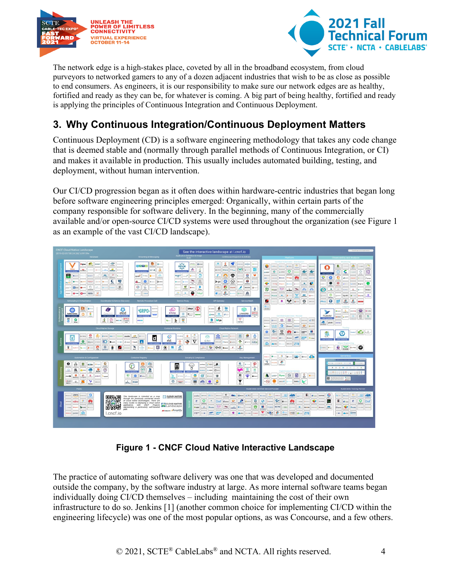



The network edge is a high-stakes place, coveted by all in the broadband ecosystem, from cloud purveyors to networked gamers to any of a dozen adjacent industries that wish to be as close as possible to end consumers. As engineers, it is our responsibility to make sure our network edges are as healthy, fortified and ready as they can be, for whatever is coming. A big part of being healthy, fortified and ready is applying the principles of Continuous Integration and Continuous Deployment.

## <span id="page-3-0"></span>**3. Why Continuous Integration/Continuous Deployment Matters**

Continuous Deployment (CD) is a software engineering methodology that takes any code change that is deemed stable and (normally through parallel methods of Continuous Integration, or CI) and makes it available in production. This usually includes automated building, testing, and deployment, without human intervention.

Our CI/CD progression began as it often does within hardware-centric industries that began long before software engineering principles emerged: Organically, within certain parts of the company responsible for software delivery. In the beginning, many of the commercially available and/or open-source CI/CD systems were used throughout the organization (see Figure 1 as an example of the vast CI/CD landscape).



**Figure 1 - CNCF Cloud Native Interactive Landscape**

<span id="page-3-1"></span>The practice of automating software delivery was one that was developed and documented outside the company, by the software industry at large. As more internal software teams began individually doing CI/CD themselves – including maintaining the cost of their own infrastructure to do so. Jenkins [1] (another common choice for implementing CI/CD within the engineering lifecycle) was one of the most popular options, as was Concourse, and a few others.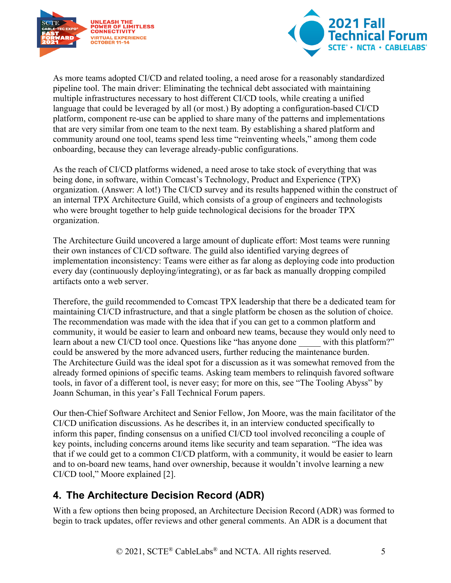



As more teams adopted CI/CD and related tooling, a need arose for a reasonably standardized pipeline tool. The main driver: Eliminating the technical debt associated with maintaining multiple infrastructures necessary to host different CI/CD tools, while creating a unified language that could be leveraged by all (or most.) By adopting a configuration-based CI/CD platform, component re-use can be applied to share many of the patterns and implementations that are very similar from one team to the next team. By establishing a shared platform and community around one tool, teams spend less time "reinventing wheels," among them code onboarding, because they can leverage already-public configurations.

As the reach of CI/CD platforms widened, a need arose to take stock of everything that was being done, in software, within Comcast's Technology, Product and Experience (TPX) organization. (Answer: A lot!) The CI/CD survey and its results happened within the construct of an internal TPX Architecture Guild, which consists of a group of engineers and technologists who were brought together to help guide technological decisions for the broader TPX organization.

The Architecture Guild uncovered a large amount of duplicate effort: Most teams were running their own instances of CI/CD software. The guild also identified varying degrees of implementation inconsistency: Teams were either as far along as deploying code into production every day (continuously deploying/integrating), or as far back as manually dropping compiled artifacts onto a web server.

Therefore, the guild recommended to Comcast TPX leadership that there be a dedicated team for maintaining CI/CD infrastructure, and that a single platform be chosen as the solution of choice. The recommendation was made with the idea that if you can get to a common platform and community, it would be easier to learn and onboard new teams, because they would only need to learn about a new CI/CD tool once. Questions like "has anyone done with this platform?" could be answered by the more advanced users, further reducing the maintenance burden. The Architecture Guild was the ideal spot for a discussion as it was somewhat removed from the already formed opinions of specific teams. Asking team members to relinquish favored software tools, in favor of a different tool, is never easy; for more on this, see "The Tooling Abyss" by Joann Schuman, in this year's Fall Technical Forum papers.

Our then-Chief Software Architect and Senior Fellow, Jon Moore, was the main facilitator of the CI/CD unification discussions. As he describes it, in an interview conducted specifically to inform this paper, finding consensus on a unified CI/CD tool involved reconciling a couple of key points, including concerns around items like security and team separation. "The idea was that if we could get to a common CI/CD platform, with a community, it would be easier to learn and to on-board new teams, hand over ownership, because it wouldn't involve learning a new CI/CD tool," Moore explained [2].

## <span id="page-4-0"></span>**4. The Architecture Decision Record (ADR)**

With a few options then being proposed, an Architecture Decision Record (ADR) was formed to begin to track updates, offer reviews and other general comments. An ADR is a document that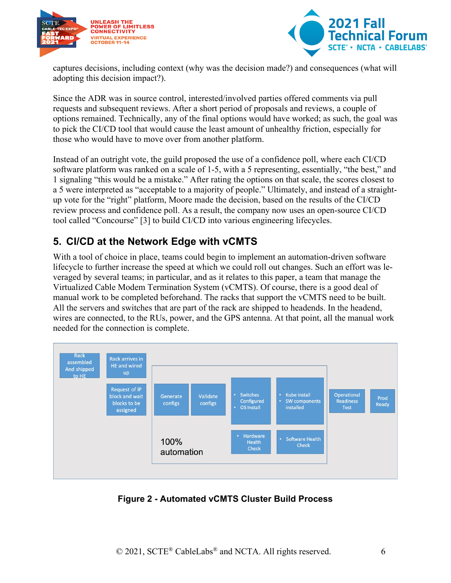



captures decisions, including context (why was the decision made?) and consequences (what will adopting this decision impact?).

Since the ADR was in source control, interested/involved parties offered comments via pull requests and subsequent reviews. After a short period of proposals and reviews, a couple of options remained. Technically, any of the final options would have worked; as such, the goal was to pick the CI/CD tool that would cause the least amount of unhealthy friction, especially for those who would have to move over from another platform.

Instead of an outright vote, the guild proposed the use of a confidence poll, where each CI/CD software platform was ranked on a scale of 1-5, with a 5 representing, essentially, "the best," and 1 signaling "this would be a mistake." After rating the options on that scale, the scores closest to a 5 were interpreted as "acceptable to a majority of people." Ultimately, and instead of a straightup vote for the "right" platform, Moore made the decision, based on the results of the CI/CD review process and confidence poll. As a result, the company now uses an open-source CI/CD tool called "Concourse" [3] to build CI/CD into various engineering lifecycles.

### <span id="page-5-0"></span>**5. CI/CD at the Network Edge with vCMTS**

With a tool of choice in place, teams could begin to implement an automation-driven software lifecycle to further increase the speed at which we could roll out changes. Such an effort was leveraged by several teams; in particular, and as it relates to this paper, a team that manage the Virtualized Cable Modem Termination System (vCMTS). Of course, there is a good deal of manual work to be completed beforehand. The racks that support the vCMTS need to be built. All the servers and switches that are part of the rack are shipped to headends. In the headend, wires are connected, to the RUs, power, and the GPS antenna. At that point, all the manual work needed for the connection is complete.



<span id="page-5-1"></span>**Figure 2 - Automated vCMTS Cluster Build Process**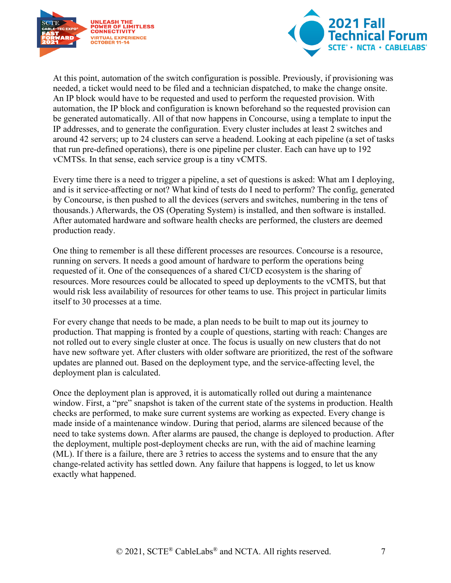



At this point, automation of the switch configuration is possible. Previously, if provisioning was needed, a ticket would need to be filed and a technician dispatched, to make the change onsite. An IP block would have to be requested and used to perform the requested provision. With automation, the IP block and configuration is known beforehand so the requested provision can be generated automatically. All of that now happens in Concourse, using a template to input the IP addresses, and to generate the configuration. Every cluster includes at least 2 switches and around 42 servers; up to 24 clusters can serve a headend. Looking at each pipeline (a set of tasks that run pre-defined operations), there is one pipeline per cluster. Each can have up to 192 vCMTSs. In that sense, each service group is a tiny vCMTS.

Every time there is a need to trigger a pipeline, a set of questions is asked: What am I deploying, and is it service-affecting or not? What kind of tests do I need to perform? The config, generated by Concourse, is then pushed to all the devices (servers and switches, numbering in the tens of thousands.) Afterwards, the OS (Operating System) is installed, and then software is installed. After automated hardware and software health checks are performed, the clusters are deemed production ready.

One thing to remember is all these different processes are resources. Concourse is a resource, running on servers. It needs a good amount of hardware to perform the operations being requested of it. One of the consequences of a shared CI/CD ecosystem is the sharing of resources. More resources could be allocated to speed up deployments to the vCMTS, but that would risk less availability of resources for other teams to use. This project in particular limits itself to 30 processes at a time.

For every change that needs to be made, a plan needs to be built to map out its journey to production. That mapping is fronted by a couple of questions, starting with reach: Changes are not rolled out to every single cluster at once. The focus is usually on new clusters that do not have new software yet. After clusters with older software are prioritized, the rest of the software updates are planned out. Based on the deployment type, and the service-affecting level, the deployment plan is calculated.

Once the deployment plan is approved, it is automatically rolled out during a maintenance window. First, a "pre" snapshot is taken of the current state of the systems in production. Health checks are performed, to make sure current systems are working as expected. Every change is made inside of a maintenance window. During that period, alarms are silenced because of the need to take systems down. After alarms are paused, the change is deployed to production. After the deployment, multiple post-deployment checks are run, with the aid of machine learning (ML). If there is a failure, there are 3 retries to access the systems and to ensure that the any change-related activity has settled down. Any failure that happens is logged, to let us know exactly what happened.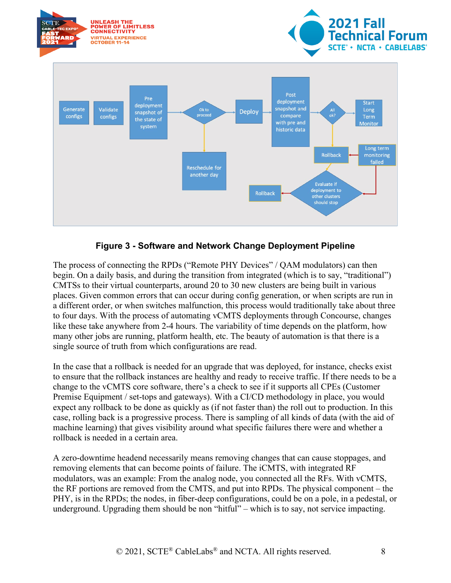

#### **Figure 3 - Software and Network Change Deployment Pipeline**

<span id="page-7-0"></span>The process of connecting the RPDs ("Remote PHY Devices" / QAM modulators) can then begin. On a daily basis, and during the transition from integrated (which is to say, "traditional") CMTSs to their virtual counterparts, around 20 to 30 new clusters are being built in various places. Given common errors that can occur during config generation, or when scripts are run in a different order, or when switches malfunction, this process would traditionally take about three to four days. With the process of automating vCMTS deployments through Concourse, changes like these take anywhere from 2-4 hours. The variability of time depends on the platform, how many other jobs are running, platform health, etc. The beauty of automation is that there is a single source of truth from which configurations are read.

In the case that a rollback is needed for an upgrade that was deployed, for instance, checks exist to ensure that the rollback instances are healthy and ready to receive traffic. If there needs to be a change to the vCMTS core software, there's a check to see if it supports all CPEs (Customer Premise Equipment / set-tops and gateways). With a CI/CD methodology in place, you would expect any rollback to be done as quickly as (if not faster than) the roll out to production. In this case, rolling back is a progressive process. There is sampling of all kinds of data (with the aid of machine learning) that gives visibility around what specific failures there were and whether a rollback is needed in a certain area.

A zero-downtime headend necessarily means removing changes that can cause stoppages, and removing elements that can become points of failure. The iCMTS, with integrated RF modulators, was an example: From the analog node, you connected all the RFs. With vCMTS, the RF portions are removed from the CMTS, and put into RPDs. The physical component – the PHY, is in the RPDs; the nodes, in fiber-deep configurations, could be on a pole, in a pedestal, or underground. Upgrading them should be non "hitful" – which is to say, not service impacting.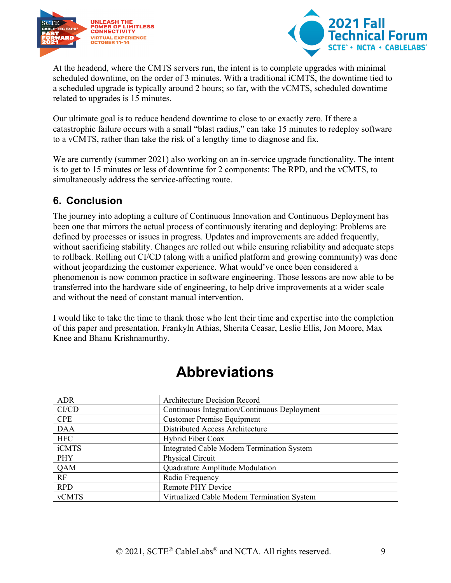



At the headend, where the CMTS servers run, the intent is to complete upgrades with minimal scheduled downtime, on the order of 3 minutes. With a traditional iCMTS, the downtime tied to a scheduled upgrade is typically around 2 hours; so far, with the vCMTS, scheduled downtime related to upgrades is 15 minutes.

Our ultimate goal is to reduce headend downtime to close to or exactly zero. If there a catastrophic failure occurs with a small "blast radius," can take 15 minutes to redeploy software to a vCMTS, rather than take the risk of a lengthy time to diagnose and fix.

We are currently (summer 2021) also working on an in-service upgrade functionality. The intent is to get to 15 minutes or less of downtime for 2 components: The RPD, and the vCMTS, to simultaneously address the service-affecting route.

### <span id="page-8-0"></span>**6. Conclusion**

The journey into adopting a culture of Continuous Innovation and Continuous Deployment has been one that mirrors the actual process of continuously iterating and deploying: Problems are defined by processes or issues in progress. Updates and improvements are added frequently, without sacrificing stability. Changes are rolled out while ensuring reliability and adequate steps to rollback. Rolling out CI/CD (along with a unified platform and growing community) was done without jeopardizing the customer experience. What would've once been considered a phenomenon is now common practice in software engineering. Those lessons are now able to be transferred into the hardware side of engineering, to help drive improvements at a wider scale and without the need of constant manual intervention.

I would like to take the time to thank those who lent their time and expertise into the completion of this paper and presentation. Frankyln Athias, Sherita Ceasar, Leslie Ellis, Jon Moore, Max Knee and Bhanu Krishnamurthy.

<span id="page-8-1"></span>

| <b>ADR</b>   | <b>Architecture Decision Record</b>          |
|--------------|----------------------------------------------|
| CI/CD        | Continuous Integration/Continuous Deployment |
| <b>CPE</b>   | <b>Customer Premise Equipment</b>            |
| <b>DAA</b>   | Distributed Access Architecture              |
| <b>HFC</b>   | Hybrid Fiber Coax                            |
| iCMTS        | Integrated Cable Modem Termination System    |
| PHY          | Physical Circuit                             |
| QAM          | Quadrature Amplitude Modulation              |
| RF           | Radio Frequency                              |
| <b>RPD</b>   | Remote PHY Device                            |
| <b>vCMTS</b> | Virtualized Cable Modem Termination System   |

# **Abbreviations**